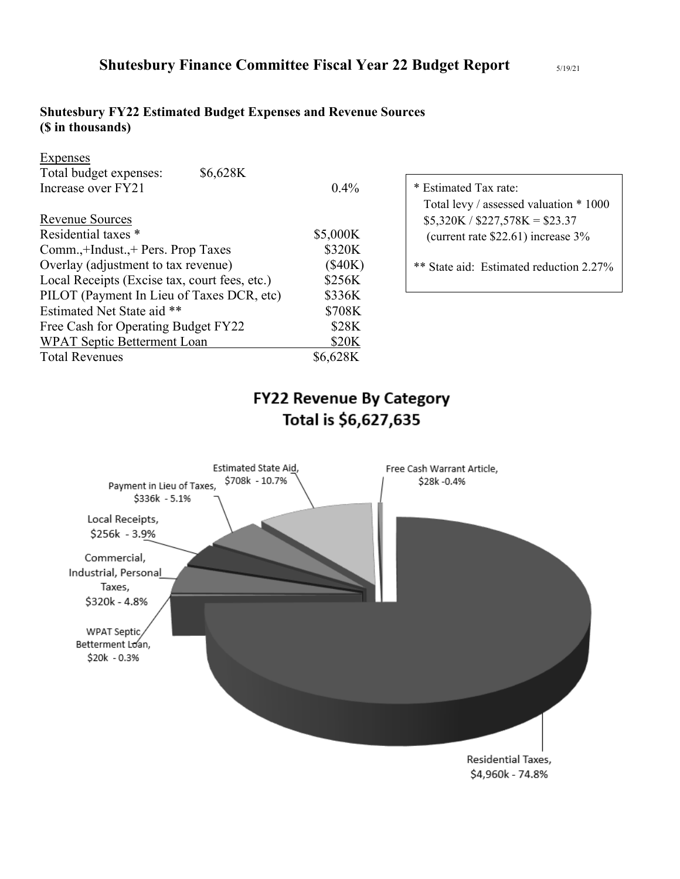## **Shutesbury FY22 Estimated Budget Expenses and Revenue Sources (\$ in thousands)**

| Expenses                                      |          |                                         |
|-----------------------------------------------|----------|-----------------------------------------|
| Total budget expenses:<br>\$6,628K            |          |                                         |
| Increase over FY21                            | $0.4\%$  | * Estimated Tax rate:                   |
|                                               |          | Total levy / assessed valuation * 1000  |
| <b>Revenue Sources</b>                        |          | $$5,320K / $227,578K = $23.37$          |
| Residential taxes *                           | \$5,000K | (current rate $$22.61$ ) increase $3\%$ |
| Comm.,+Indust.,+ Pers. Prop Taxes             | \$320K   |                                         |
| Overlay (adjustment to tax revenue)           | (\$40K)  | ** State aid: Estimated reduction 2.27% |
| Local Receipts (Excise tax, court fees, etc.) | \$256K   |                                         |
| PILOT (Payment In Lieu of Taxes DCR, etc)     | \$336K   |                                         |
| Estimated Net State aid **                    | \$708K   |                                         |
| Free Cash for Operating Budget FY22           | \$28K    |                                         |
| WPAT Septic Betterment Loan                   | \$20K    |                                         |
| <b>Total Revenues</b>                         | \$6,628K |                                         |

# **FY22 Revenue By Category** Total is \$6,627,635

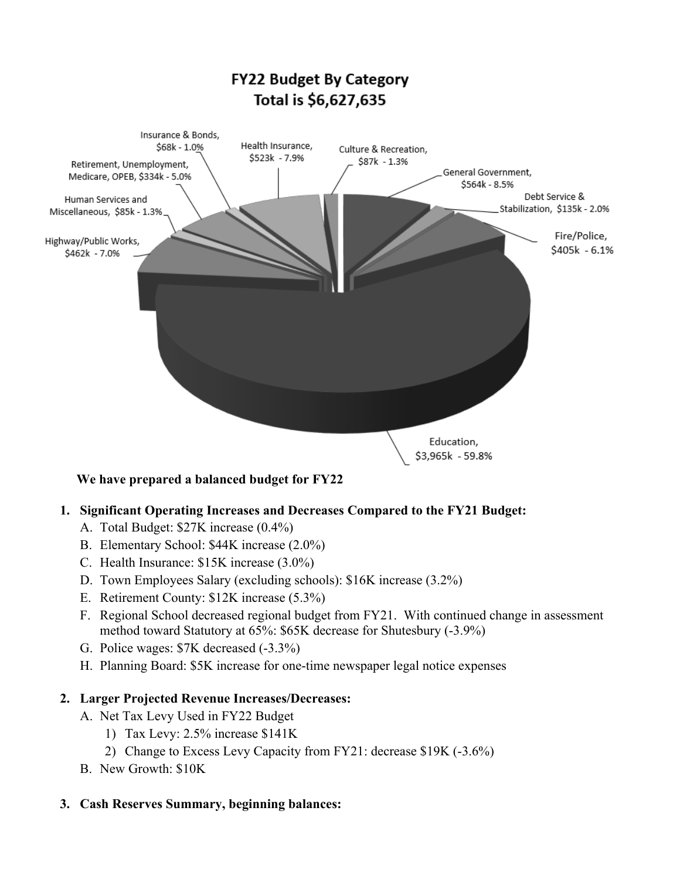

### **We have prepared a balanced budget for FY22**

### **1. Significant Operating Increases and Decreases Compared to the FY21 Budget:**

- A. Total Budget: \$27K increase (0.4%)
- B. Elementary School: \$44K increase (2.0%)
- C. Health Insurance: \$15K increase (3.0%)
- D. Town Employees Salary (excluding schools): \$16K increase (3.2%)
- E. Retirement County: \$12K increase (5.3%)
- F. Regional School decreased regional budget from FY21. With continued change in assessment method toward Statutory at 65%: \$65K decrease for Shutesbury (-3.9%)
- G. Police wages: \$7K decreased (-3.3%)
- H. Planning Board: \$5K increase for one-time newspaper legal notice expenses

### **2. Larger Projected Revenue Increases/Decreases:**

- A. Net Tax Levy Used in FY22 Budget
	- 1) Tax Levy: 2.5% increase \$141K
	- 2) Change to Excess Levy Capacity from FY21: decrease \$19K (-3.6%)
- B. New Growth: \$10K

### **3. Cash Reserves Summary, beginning balances:**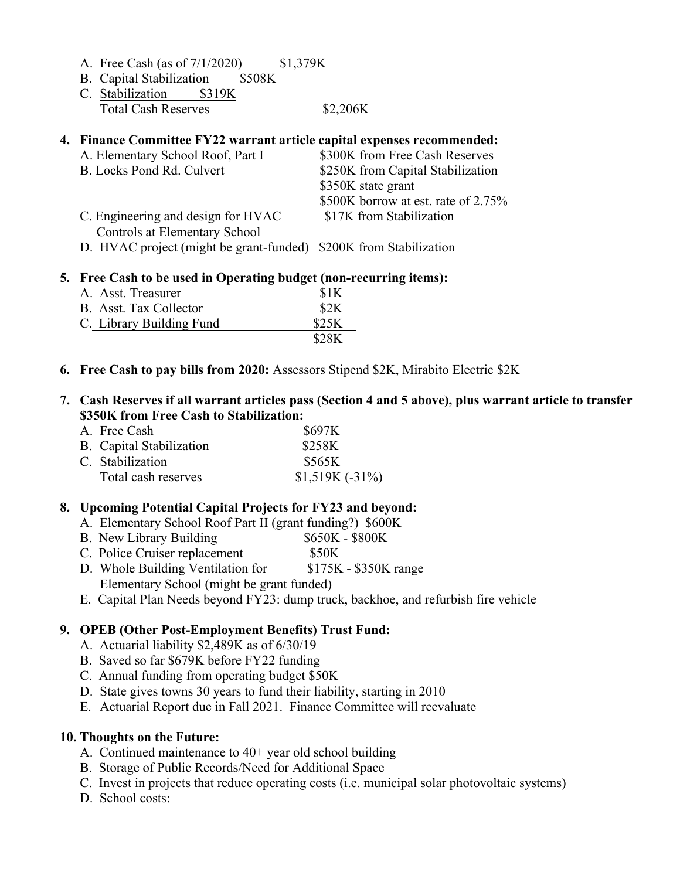|  |  | A. Free Cash (as of $7/1/2020$ ) | \$1,379K |  |
|--|--|----------------------------------|----------|--|
|--|--|----------------------------------|----------|--|

- B. Capital Stabilization \$508K
- C. Stabilization \$319K Total Cash Reserves \$2,206K

### **4. Finance Committee FY22 warrant article capital expenses recommended:**

| A. Elementary School Roof, Part I  | \$300K from Free Cash Reserves      |
|------------------------------------|-------------------------------------|
| B. Locks Pond Rd. Culvert          | \$250K from Capital Stabilization   |
|                                    | \$350K state grant                  |
|                                    | \$500K borrow at est. rate of 2.75% |
| C. Engineering and design for HVAC | \$17K from Stabilization            |
| Controls at Elementary School      |                                     |
|                                    |                                     |

D. HVAC project (might be grant-funded) \$200K from Stabilization

### **5. Free Cash to be used in Operating budget (non-recurring items):**

| A. Asst. Treasurer       |  | \$1K  |  |  |  |
|--------------------------|--|-------|--|--|--|
| B. Asst. Tax Collector   |  | \$2K  |  |  |  |
| C. Library Building Fund |  | \$25K |  |  |  |
|                          |  | \$28K |  |  |  |

#### **6. Free Cash to pay bills from 2020:** Assessors Stipend \$2K, Mirabito Electric \$2K

### **7. Cash Reserves if all warrant articles pass (Section 4 and 5 above), plus warrant article to transfer \$350K from Free Cash to Stabilization:**

| A. Free Cash             | <b>\$697K</b>     |
|--------------------------|-------------------|
| B. Capital Stabilization | \$258K            |
| C. Stabilization         | \$565K            |
| Total cash reserves      | $$1,519K (-31\%)$ |

### **8. Upcoming Potential Capital Projects for FY23 and beyond:**

- A. Elementary School Roof Part II (grant funding?) \$600K
- B. New Library Building  $$650K $800K$
- C. Police Cruiser replacement \$50K
- D. Whole Building Ventilation for \$175K \$350K range Elementary School (might be grant funded)
- E. Capital Plan Needs beyond FY23: dump truck, backhoe, and refurbish fire vehicle

### **9. OPEB (Other Post-Employment Benefits) Trust Fund:**

- A. Actuarial liability \$2,489K as of 6/30/19
- B. Saved so far \$679K before FY22 funding
- C. Annual funding from operating budget \$50K
- D. State gives towns 30 years to fund their liability, starting in 2010
- E. Actuarial Report due in Fall 2021. Finance Committee will reevaluate

### **10. Thoughts on the Future:**

- A. Continued maintenance to 40+ year old school building
- B. Storage of Public Records/Need for Additional Space
- C. Invest in projects that reduce operating costs (i.e. municipal solar photovoltaic systems)
- D. School costs: